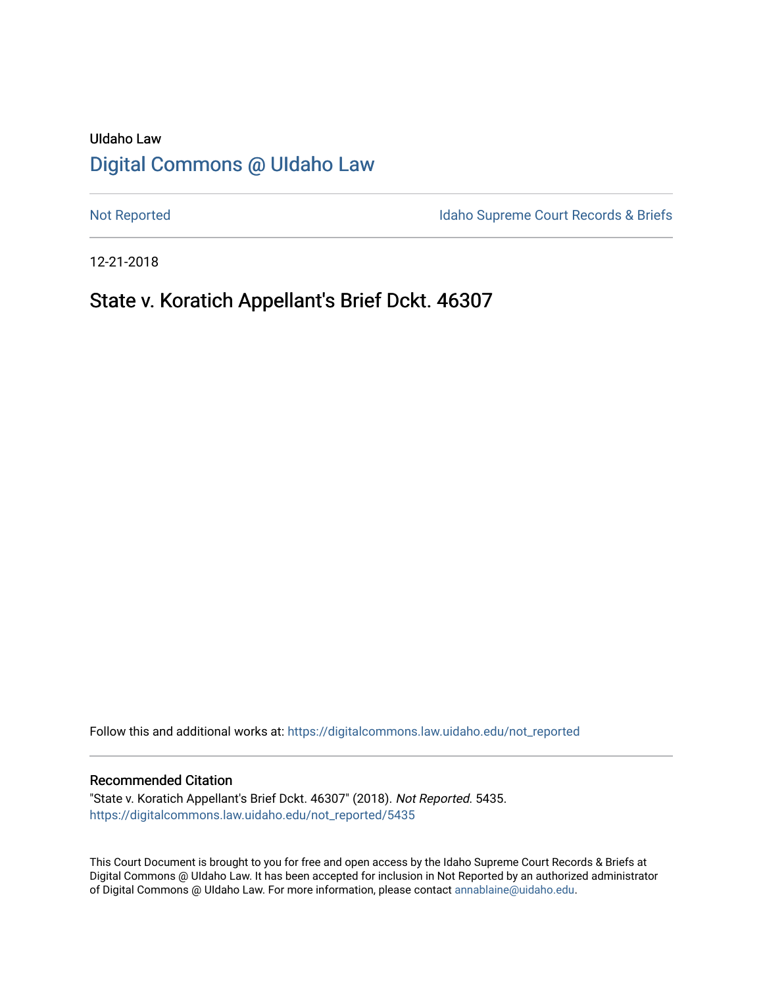# UIdaho Law [Digital Commons @ UIdaho Law](https://digitalcommons.law.uidaho.edu/)

[Not Reported](https://digitalcommons.law.uidaho.edu/not_reported) **Idaho Supreme Court Records & Briefs** 

12-21-2018

## State v. Koratich Appellant's Brief Dckt. 46307

Follow this and additional works at: [https://digitalcommons.law.uidaho.edu/not\\_reported](https://digitalcommons.law.uidaho.edu/not_reported?utm_source=digitalcommons.law.uidaho.edu%2Fnot_reported%2F5435&utm_medium=PDF&utm_campaign=PDFCoverPages) 

#### Recommended Citation

"State v. Koratich Appellant's Brief Dckt. 46307" (2018). Not Reported. 5435. [https://digitalcommons.law.uidaho.edu/not\\_reported/5435](https://digitalcommons.law.uidaho.edu/not_reported/5435?utm_source=digitalcommons.law.uidaho.edu%2Fnot_reported%2F5435&utm_medium=PDF&utm_campaign=PDFCoverPages)

This Court Document is brought to you for free and open access by the Idaho Supreme Court Records & Briefs at Digital Commons @ UIdaho Law. It has been accepted for inclusion in Not Reported by an authorized administrator of Digital Commons @ UIdaho Law. For more information, please contact [annablaine@uidaho.edu](mailto:annablaine@uidaho.edu).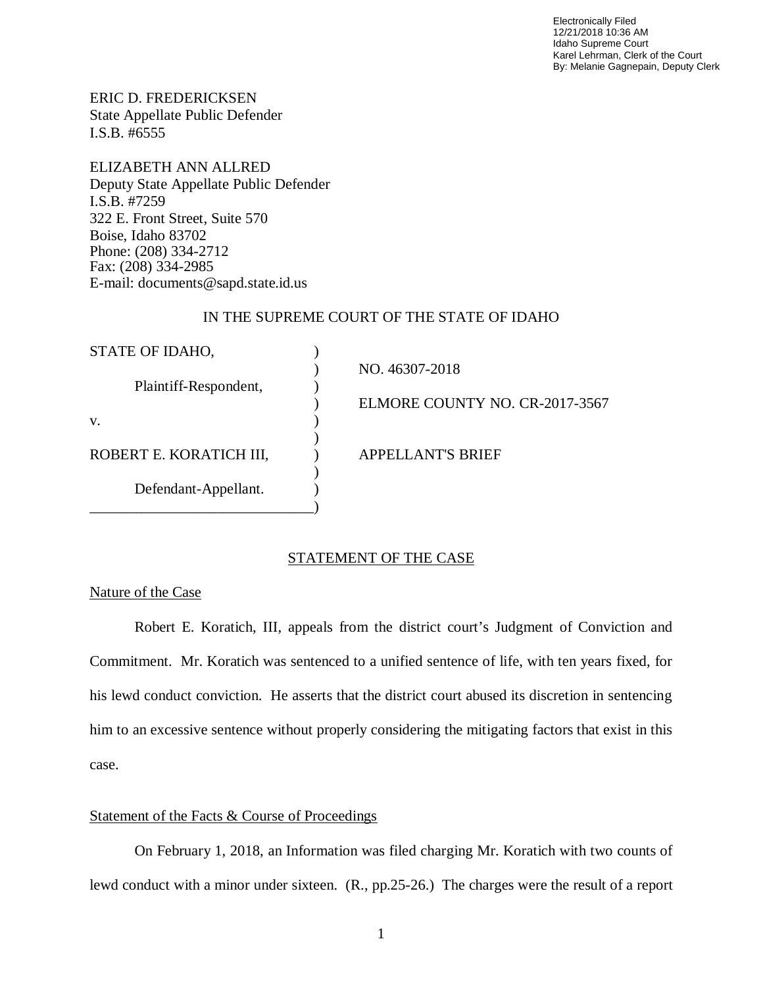Electronically Filed 12/21/2018 10:36 AM Idaho Supreme Court Karel Lehrman, Clerk of the Court By: Melanie Gagnepain, Deputy Clerk

ERIC D. FREDERICKSEN State Appellate Public Defender I.S.B. #6555

ELIZABETH ANN ALLRED Deputy State Appellate Public Defender I.S.B. #7259 322 E. Front Street, Suite 570 Boise, Idaho 83702 Phone: (208) 334-2712 Fax: (208) 334-2985 E-mail: documents@sapd.state.id.us

## IN THE SUPREME COURT OF THE STATE OF IDAHO

| STATE OF IDAHO,         |                                |
|-------------------------|--------------------------------|
| Plaintiff-Respondent,   | NO. 46307-2018                 |
|                         |                                |
|                         | ELMORE COUNTY NO. CR-2017-3567 |
| V.                      |                                |
|                         |                                |
| ROBERT E. KORATICH III, | <b>APPELLANT'S BRIEF</b>       |
|                         |                                |
| Defendant-Appellant.    |                                |
|                         |                                |

### STATEMENT OF THE CASE

#### Nature of the Case

Robert E. Koratich, III, appeals from the district court's Judgment of Conviction and Commitment. Mr. Koratich was sentenced to a unified sentence of life, with ten years fixed, for his lewd conduct conviction. He asserts that the district court abused its discretion in sentencing him to an excessive sentence without properly considering the mitigating factors that exist in this case.

## Statement of the Facts & Course of Proceedings

On February 1, 2018, an Information was filed charging Mr. Koratich with two counts of lewd conduct with a minor under sixteen. (R., pp.25-26.) The charges were the result of a report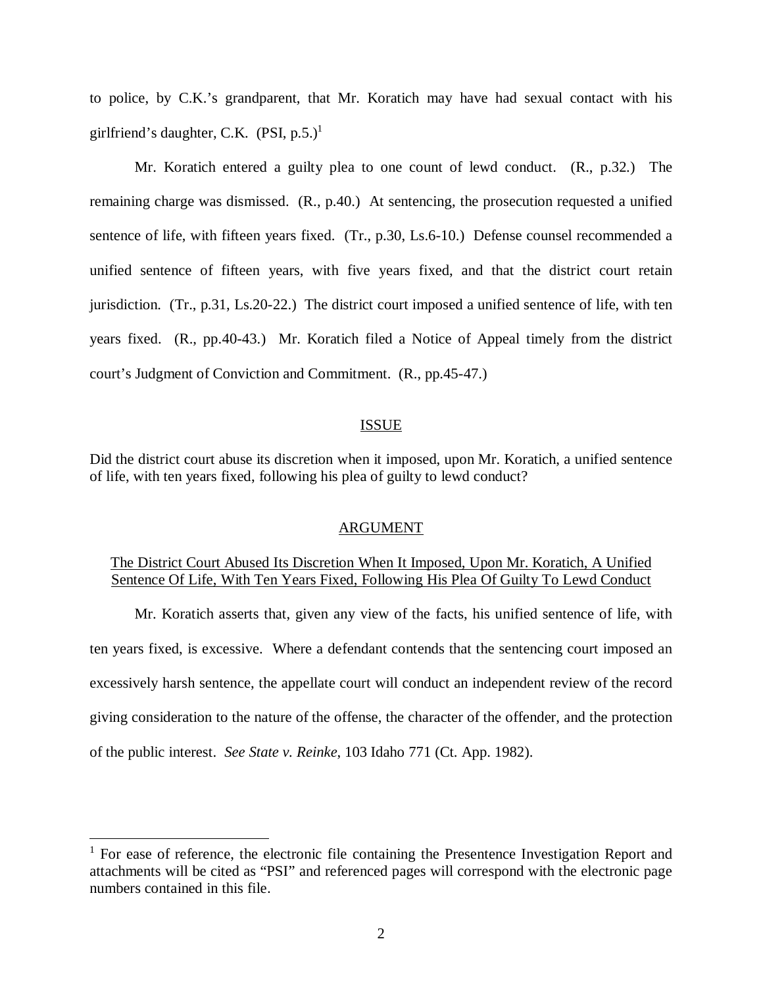to police, by C.K.'s grandparent, that Mr. Koratich may have had sexual contact with his girlfriend's daughter, C.K.  $(PSI, p.5.)^1$  $(PSI, p.5.)^1$ 

Mr. Koratich entered a guilty plea to one count of lewd conduct. (R., p.32.) The remaining charge was dismissed. (R., p.40.) At sentencing, the prosecution requested a unified sentence of life, with fifteen years fixed. (Tr., p.30, Ls.6-10.) Defense counsel recommended a unified sentence of fifteen years, with five years fixed, and that the district court retain jurisdiction. (Tr., p.31, Ls.20-22.) The district court imposed a unified sentence of life, with ten years fixed. (R., pp.40-43.) Mr. Koratich filed a Notice of Appeal timely from the district court's Judgment of Conviction and Commitment. (R., pp.45-47.)

#### ISSUE

Did the district court abuse its discretion when it imposed, upon Mr. Koratich, a unified sentence of life, with ten years fixed, following his plea of guilty to lewd conduct?

#### ARGUMENT

## The District Court Abused Its Discretion When It Imposed, Upon Mr. Koratich, A Unified Sentence Of Life, With Ten Years Fixed, Following His Plea Of Guilty To Lewd Conduct

Mr. Koratich asserts that, given any view of the facts, his unified sentence of life, with ten years fixed, is excessive. Where a defendant contends that the sentencing court imposed an excessively harsh sentence, the appellate court will conduct an independent review of the record giving consideration to the nature of the offense, the character of the offender, and the protection of the public interest. *See State v. Reinke*, 103 Idaho 771 (Ct. App. 1982).

<span id="page-2-0"></span><sup>&</sup>lt;sup>1</sup> For ease of reference, the electronic file containing the Presentence Investigation Report and attachments will be cited as "PSI" and referenced pages will correspond with the electronic page numbers contained in this file.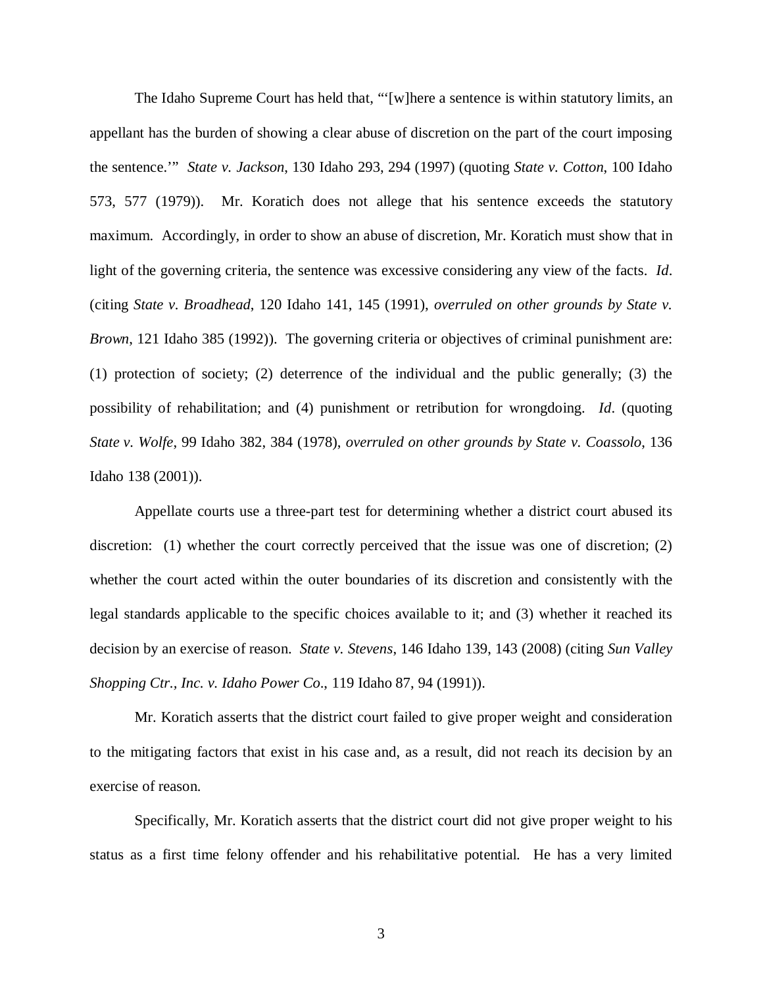The Idaho Supreme Court has held that, "'[w]here a sentence is within statutory limits, an appellant has the burden of showing a clear abuse of discretion on the part of the court imposing the sentence.'" *State v. Jackson*, 130 Idaho 293, 294 (1997) (quoting *State v. Cotton*, 100 Idaho 573, 577 (1979)). Mr. Koratich does not allege that his sentence exceeds the statutory maximum. Accordingly, in order to show an abuse of discretion, Mr. Koratich must show that in light of the governing criteria, the sentence was excessive considering any view of the facts. *Id*. (citing *State v. Broadhead*, 120 Idaho 141, 145 (1991), *overruled on other grounds by State v. Brown*, 121 Idaho 385 (1992)). The governing criteria or objectives of criminal punishment are: (1) protection of society; (2) deterrence of the individual and the public generally; (3) the possibility of rehabilitation; and (4) punishment or retribution for wrongdoing. *Id*. (quoting *State v. Wolfe*, 99 Idaho 382, 384 (1978), *overruled on other grounds by State v. Coassolo*, 136 Idaho 138 (2001)).

Appellate courts use a three-part test for determining whether a district court abused its discretion: (1) whether the court correctly perceived that the issue was one of discretion; (2) whether the court acted within the outer boundaries of its discretion and consistently with the legal standards applicable to the specific choices available to it; and (3) whether it reached its decision by an exercise of reason. *State v. Stevens*, 146 Idaho 139, 143 (2008) (citing *[Sun Valley](https://a.next.westlaw.com/Link/Document/FullText?findType=Y&serNum=1991020453&pubNum=661&originatingDoc=Ib1fc665a58e011ddbc7bf97f340af743&refType=RP&fi=co_pp_sp_661_1000&originationContext=document&transitionType=DocumentItem&contextData=(sc.Folder*cid.e4ef799cd44b4f4184ec493464b042f9*oc.Search)#co_pp_sp_661_1000) [Shopping Ctr., Inc. v. Idaho Power Co](https://a.next.westlaw.com/Link/Document/FullText?findType=Y&serNum=1991020453&pubNum=661&originatingDoc=Ib1fc665a58e011ddbc7bf97f340af743&refType=RP&fi=co_pp_sp_661_1000&originationContext=document&transitionType=DocumentItem&contextData=(sc.Folder*cid.e4ef799cd44b4f4184ec493464b042f9*oc.Search)#co_pp_sp_661_1000)*., 119 Idaho 87, 94 (1991)).

Mr. Koratich asserts that the district court failed to give proper weight and consideration to the mitigating factors that exist in his case and, as a result, did not reach its decision by an exercise of reason.

Specifically, Mr. Koratich asserts that the district court did not give proper weight to his status as a first time felony offender and his rehabilitative potential. He has a very limited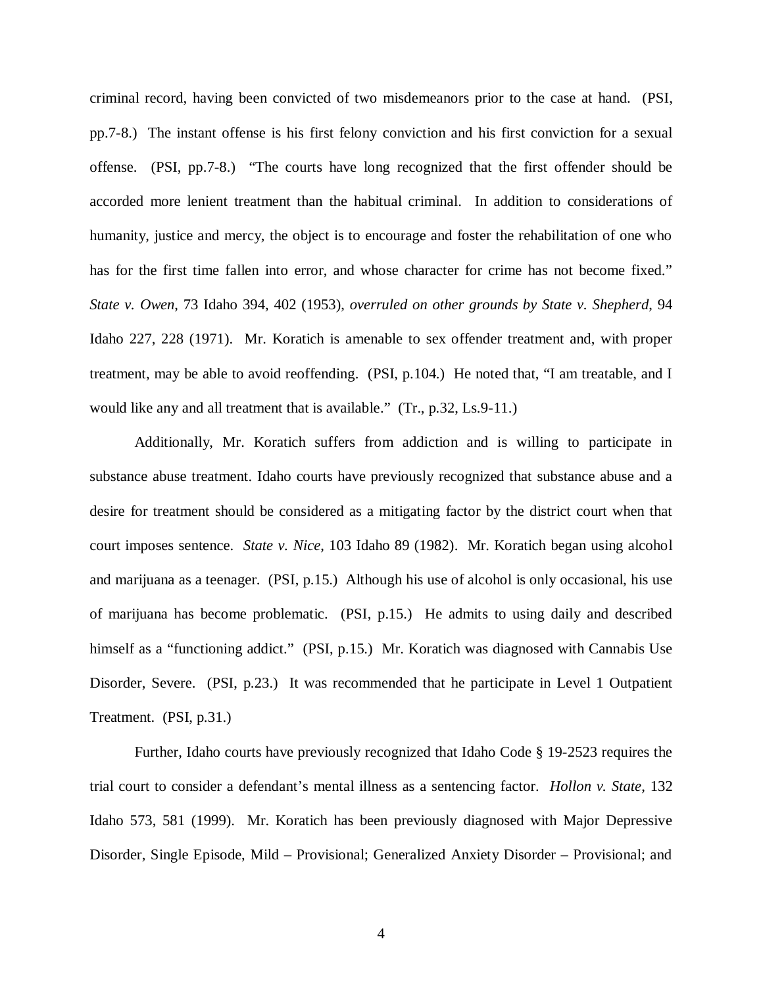criminal record, having been convicted of two misdemeanors prior to the case at hand. (PSI, pp.7-8.) The instant offense is his first felony conviction and his first conviction for a sexual offense. (PSI, pp.7-8.) "The courts have long recognized that the first offender should be accorded more lenient treatment than the habitual criminal. In addition to considerations of humanity, justice and mercy, the object is to encourage and foster the rehabilitation of one who has for the first time fallen into error, and whose character for crime has not become fixed." *State v. Owen*, 73 Idaho 394, 402 (1953), *overruled on other grounds by State v. Shepherd*, 94 Idaho 227, 228 (1971). Mr. Koratich is amenable to sex offender treatment and, with proper treatment, may be able to avoid reoffending. (PSI, p.104.) He noted that, "I am treatable, and I would like any and all treatment that is available." (Tr., p.32, Ls.9-11.)

Additionally, Mr. Koratich suffers from addiction and is willing to participate in substance abuse treatment. Idaho courts have previously recognized that substance abuse and a desire for treatment should be considered as a mitigating factor by the district court when that court imposes sentence. *State v. Nice*, 103 Idaho 89 (1982). Mr. Koratich began using alcohol and marijuana as a teenager. (PSI, p.15.) Although his use of alcohol is only occasional, his use of marijuana has become problematic. (PSI, p.15.) He admits to using daily and described himself as a "functioning addict." (PSI, p.15.) Mr. Koratich was diagnosed with Cannabis Use Disorder, Severe. (PSI, p.23.) It was recommended that he participate in Level 1 Outpatient Treatment. (PSI, p.31.)

Further, Idaho courts have previously recognized that Idaho Code § 19-2523 requires the trial court to consider a defendant's mental illness as a sentencing factor. *Hollon v. State*, 132 Idaho 573, 581 (1999). Mr. Koratich has been previously diagnosed with Major Depressive Disorder, Single Episode, Mild – Provisional; Generalized Anxiety Disorder – Provisional; and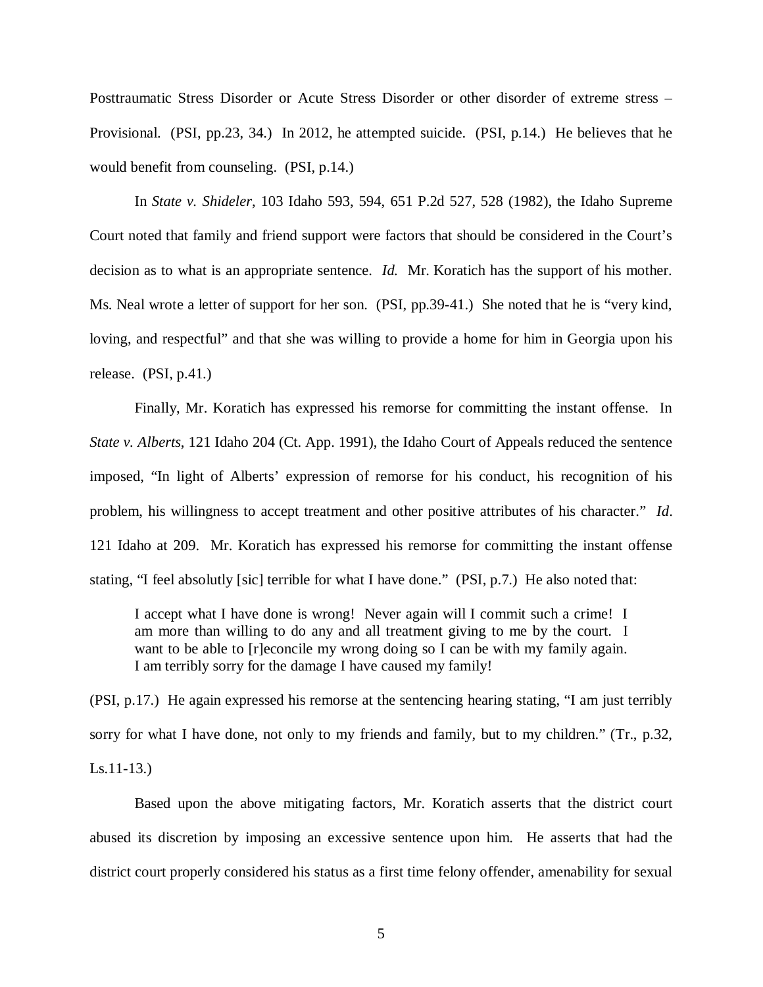Posttraumatic Stress Disorder or Acute Stress Disorder or other disorder of extreme stress – Provisional. (PSI, pp.23, 34.) In 2012, he attempted suicide. (PSI, p.14.) He believes that he would benefit from counseling. (PSI, p.14.)

In *State v. Shideler*, 103 Idaho 593, 594, 651 P.2d 527, 528 (1982), the Idaho Supreme Court noted that family and friend support were factors that should be considered in the Court's decision as to what is an appropriate sentence. *Id.* Mr. Koratich has the support of his mother. Ms. Neal wrote a letter of support for her son. (PSI, pp.39-41.) She noted that he is "very kind, loving, and respectful" and that she was willing to provide a home for him in Georgia upon his release. (PSI, p.41.)

Finally, Mr. Koratich has expressed his remorse for committing the instant offense. In *State v. Alberts*, 121 Idaho 204 (Ct. App. 1991), the Idaho Court of Appeals reduced the sentence imposed, "In light of Alberts' expression of remorse for his conduct, his recognition of his problem, his willingness to accept treatment and other positive attributes of his character." *Id*. 121 Idaho at 209. Mr. Koratich has expressed his remorse for committing the instant offense stating, "I feel absolutly [sic] terrible for what I have done." (PSI, p.7.) He also noted that:

I accept what I have done is wrong! Never again will I commit such a crime! I am more than willing to do any and all treatment giving to me by the court. I want to be able to [r]econcile my wrong doing so I can be with my family again. I am terribly sorry for the damage I have caused my family!

(PSI, p.17.) He again expressed his remorse at the sentencing hearing stating, "I am just terribly sorry for what I have done, not only to my friends and family, but to my children." (Tr., p.32, Ls.11-13.)

Based upon the above mitigating factors, Mr. Koratich asserts that the district court abused its discretion by imposing an excessive sentence upon him. He asserts that had the district court properly considered his status as a first time felony offender, amenability for sexual